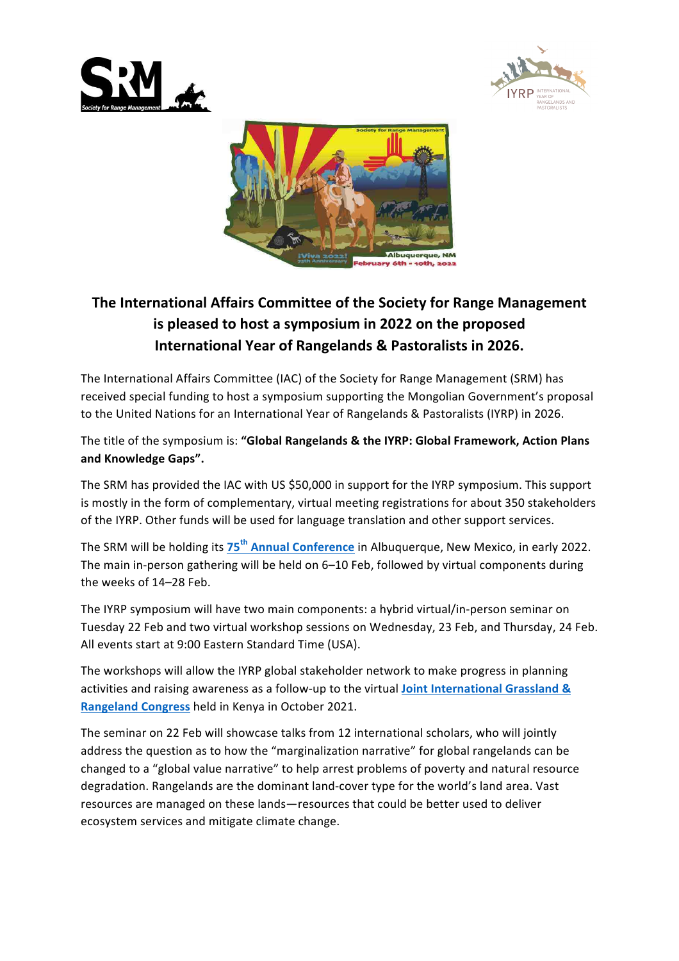





## The International Affairs Committee of the Society for Range Management **is pleased to host a symposium in 2022 on the proposed International Year of Rangelands & Pastoralists in 2026.**

The International Affairs Committee (IAC) of the Society for Range Management (SRM) has received special funding to host a symposium supporting the Mongolian Government's proposal to the United Nations for an International Year of Rangelands & Pastoralists (IYRP) in 2026.

The title of the symposium is: "Global Rangelands & the IYRP: Global Framework, Action Plans **and Knowledge Gaps".**

The SRM has provided the IAC with US \$50,000 in support for the IYRP symposium. This support is mostly in the form of complementary, virtual meeting registrations for about 350 stakeholders of the IYRP. Other funds will be used for language translation and other support services.

The SRM will be holding its  $75^{th}$  **Annual Conference** in Albuquerque, New Mexico, in early 2022. The main in-person gathering will be held on 6–10 Feb, followed by virtual components during the weeks of 14-28 Feb.

The IYRP symposium will have two main components: a hybrid virtual/in-person seminar on Tuesday 22 Feb and two virtual workshop sessions on Wednesday, 23 Feb, and Thursday, 24 Feb. All events start at 9:00 Eastern Standard Time (USA).

The workshops will allow the IYRP global stakeholder network to make progress in planning activities and raising awareness as a follow-up to the virtual **Joint International Grassland & Rangeland Congress** held in Kenya in October 2021.

The seminar on 22 Feb will showcase talks from 12 international scholars, who will jointly address the question as to how the "marginalization narrative" for global rangelands can be changed to a "global value narrative" to help arrest problems of poverty and natural resource degradation. Rangelands are the dominant land-cover type for the world's land area. Vast resources are managed on these lands—resources that could be better used to deliver ecosystem services and mitigate climate change.